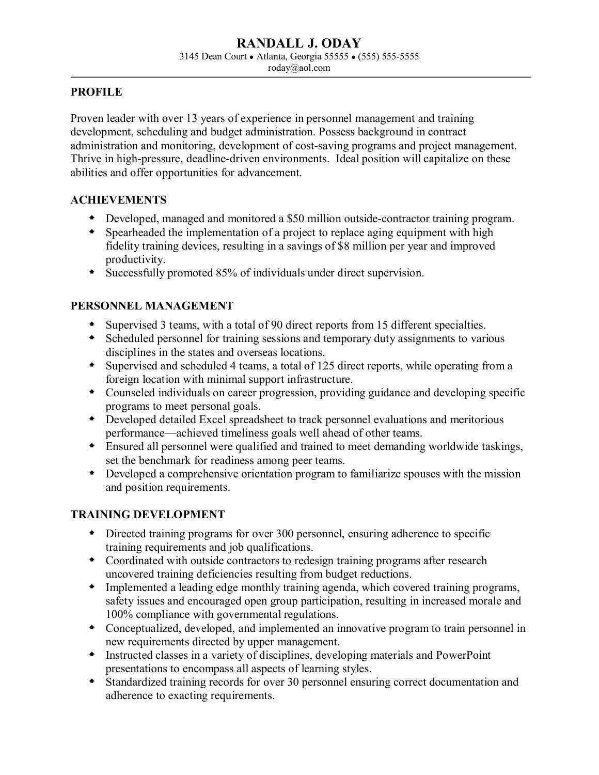#### **RANDALL J. ODAY** 3145 Dean Court ● Atlanta, Georgia 55555 ● (555) 555-5555 roday@aol.com

## **PROFILE**

Proven leader with over 13 years of experience in personnel management and training development, scheduling and budget administration. Possess background in contract administration and monitoring, development of cost-saving programs and project management. Thrive in high-pressure, deadline-driven environments. Ideal position will capitalize on these abilities and offer opportunities for advancement.

## **ACHIEVEMENTS**

- Developed, managed and monitored a \$50 million outside-contractor training program.
- Spearheaded the implementation of a project to replace aging equipment with high fidelity training devices, resulting in a savings of \$8 million per year and improved productivity.
- Successfully promoted 85% of individuals under direct supervision.

# **PERSONNEL MANAGEMENT**

- Supervised 3 teams, with a total of 90 direct reports from 15 different specialties.
- Scheduled personnel for training sessions and temporary duty assignments to various disciplines in the states and overseas locations.
- Supervised and scheduled 4 teams, a total of 125 direct reports, while operating from a foreign location with minimal support infrastructure.
- Counseled individuals on career progression, providing guidance and developing specific programs to meet personal goals.
- Developed detailed Excel spreadsheet to track personnel evaluations and meritorious performance—achieved timeliness goals well ahead of other teams.
- Ensured all personnel were qualified and trained to meet demanding worldwide taskings, set the benchmark for readiness among peer teams.
- Developed a comprehensive orientation program to familiarize spouses with the mission and position requirements.

## **TRAINING DEVELOPMENT**

- Directed training programs for over 300 personnel, ensuring adherence to specific training requirements and job qualifications.
- Coordinated with outside contractors to redesign training programs after research uncovered training deficiencies resulting from budget reductions.
- Implemented a leading edge monthly training agenda, which covered training programs, safety issues and encouraged open group participation, resulting in increased morale and 100% compliance with governmental regulations.
- Conceptualized, developed, and implemented an innovative program to train personnel in new requirements directed by upper management.
- Instructed classes in a variety of disciplines, developing materials and PowerPoint presentations to encompass all aspects of learning styles.
- Standardized training records for over 30 personnel ensuring correct documentation and adherence to exacting requirements.